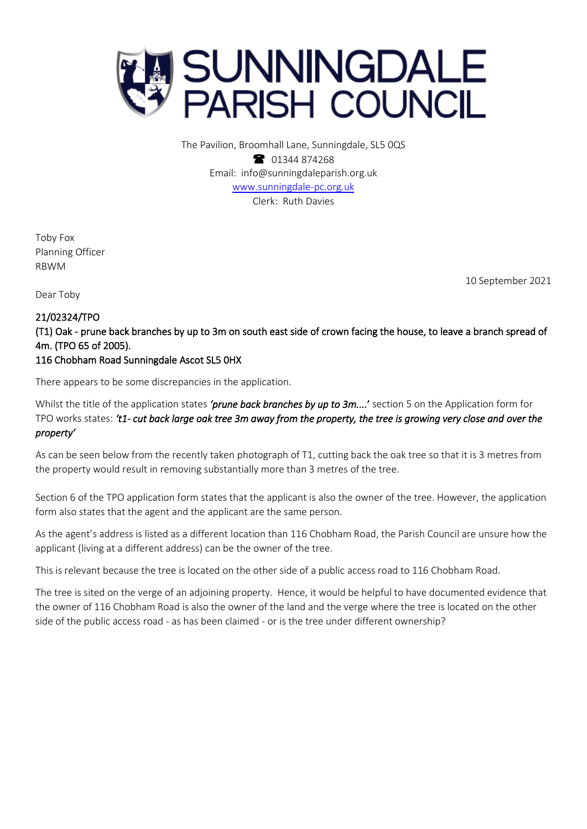

The Pavilion, Broomhall Lane, Sunningdale, SL5 0QS 1344 874268 Email: info@sunningdaleparish.org.uk [www.sunningdale-pc.org.uk](http://www.sunningdale-pc.org.uk/) Clerk: Ruth Davies

Toby Fox Planning Officer RBWM

10 September 2021

Dear Toby

## 21/02324/TPO

(T1) Oak - prune back branches by up to 3m on south east side of crown facing the house, to leave a branch spread of 4m. (TPO 65 of 2005).

## 116 Chobham Road Sunningdale Ascot SL5 0HX

There appears to be some discrepancies in the application.

Whilst the title of the application states *'prune back branches by up to 3m....*' section 5 on the Application form for TPO works states: *'t1- cut back large oak tree 3m away from the property, the tree is growing very close and over the property'*

As can be seen below from the recently taken photograph of T1, cutting back the oak tree so that it is 3 metres from the property would result in removing substantially more than 3 metres of the tree.

Section 6 of the TPO application form states that the applicant is also the owner of the tree. However, the application form also states that the agent and the applicant are the same person.

As the agent's address is listed as a different location than 116 Chobham Road, the Parish Council are unsure how the applicant (living at a different address) can be the owner of the tree.

This is relevant because the tree is located on the other side of a public access road to 116 Chobham Road.

The tree is sited on the verge of an adjoining property. Hence, it would be helpful to have documented evidence that the owner of 116 Chobham Road is also the owner of the land and the verge where the tree is located on the other side of the public access road - as has been claimed - or is the tree under different ownership?